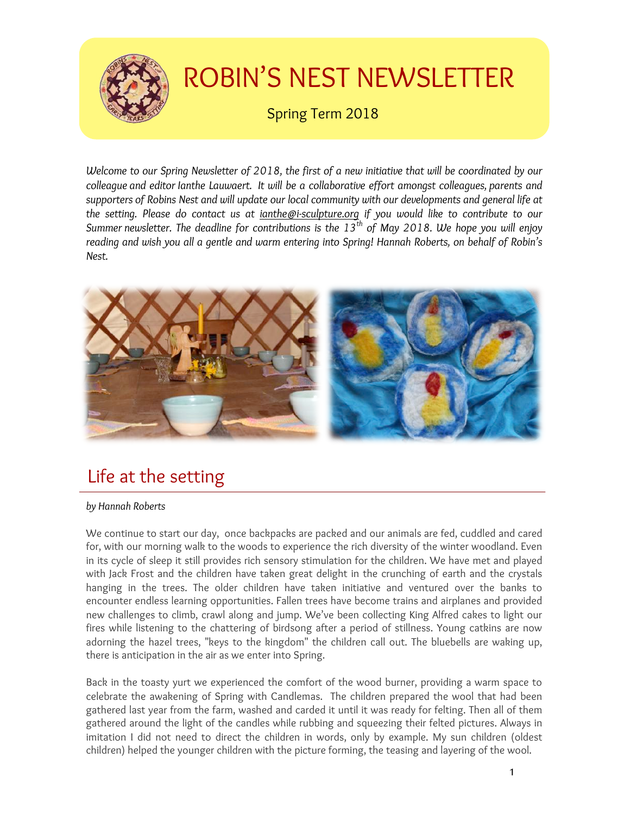

# ROBIN'S NEST NEWSLETTER

Spring Term 2018

*Welcome to our Spring Newsletter of 2018, the first of a new initiative that will be coordinated by our colleague and editor Ianthe Lauwaert. It will be a collaborative effort amongst colleagues, parents and supporters of Robins Nest and will update our local community with our developments and general life at the setting. Please do contact us at ianthe@i-sculpture.org if you would like to contribute to our Summer newsletter. The deadline for contributions is the 13th of May 2018. We hope you will enjoy reading and wish you all a gentle and warm entering into Spring! Hannah Roberts, on behalf of Robin's Nest.*



# Life at the setting

### *by Hannah Roberts*

We continue to start our day, once backpacks are packed and our animals are fed, cuddled and cared for, with our morning walk to the woods to experience the rich diversity of the winter woodland. Even in its cycle of sleep it still provides rich sensory stimulation for the children. We have met and played with Jack Frost and the children have taken great delight in the crunching of earth and the crystals hanging in the trees. The older children have taken initiative and ventured over the banks to encounter endless learning opportunities. Fallen trees have become trains and airplanes and provided new challenges to climb, crawl along and jump. We've been collecting King Alfred cakes to light our fires while listening to the chattering of birdsong after a period of stillness. Young catkins are now adorning the hazel trees, "keys to the kingdom" the children call out. The bluebells are waking up, there is anticipation in the air as we enter into Spring.

Back in the toasty yurt we experienced the comfort of the wood burner, providing a warm space to celebrate the awakening of Spring with Candlemas. The children prepared the wool that had been gathered last year from the farm, washed and carded it until it was ready for felting. Then all of them gathered around the light of the candles while rubbing and squeezing their felted pictures. Always in imitation I did not need to direct the children in words, only by example. My sun children (oldest children) helped the younger children with the picture forming, the teasing and layering of the wool.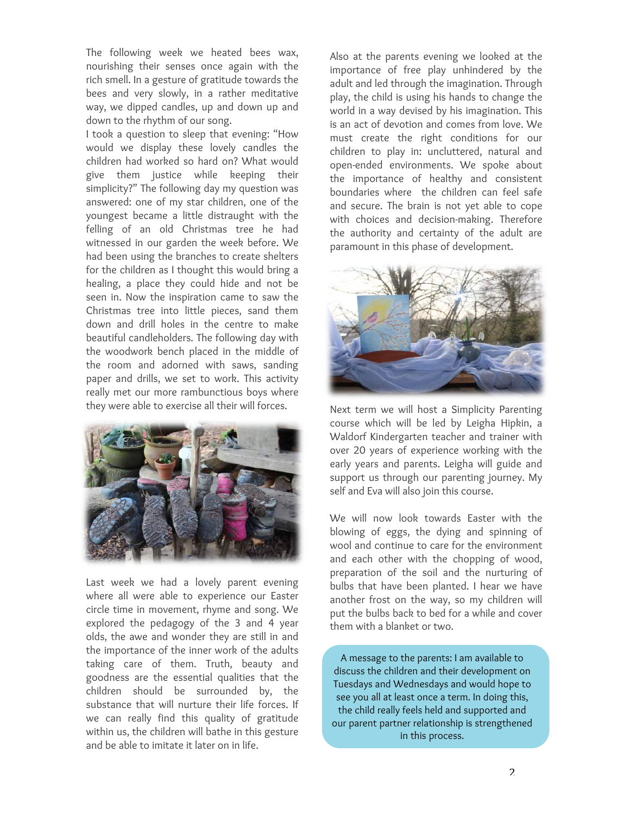The following week we heated bees wax, nourishing their senses once again with the rich smell. In a gesture of gratitude towards the bees and very slowly, in a rather meditative way, we dipped candles, up and down up and down to the rhythm of our song.

I took a question to sleep that evening: "How would we display these lovely candles the children had worked so hard on? What would give them justice while keeping their simplicity?" The following day my question was answered: one of my star children, one of the youngest became a little distraught with the felling of an old Christmas tree he had witnessed in our garden the week before. We had been using the branches to create shelters for the children as I thought this would bring a healing, a place they could hide and not be seen in. Now the inspiration came to saw the Christmas tree into little pieces, sand them down and drill holes in the centre to make beautiful candleholders. The following day with the woodwork bench placed in the middle of the room and adorned with saws, sanding paper and drills, we set to work. This activity really met our more rambunctious boys where they were able to exercise all their will forces.



Last week we had a lovely parent evening where all were able to experience our Easter circle time in movement, rhyme and song. We explored the pedagogy of the 3 and 4 year olds, the awe and wonder they are still in and the importance of the inner work of the adults taking care of them. Truth, beauty and goodness are the essential qualities that the children should be surrounded by, the substance that will nurture their life forces. If we can really find this quality of gratitude within us, the children will bathe in this gesture and be able to imitate it later on in life.

Also at the parents evening we looked at the importance of free play unhindered by the adult and led through the imagination. Through play, the child is using his hands to change the world in a way devised by his imagination. This is an act of devotion and comes from love. We must create the right conditions for our children to play in: uncluttered, natural and open-ended environments. We spoke about the importance of healthy and consistent boundaries where the children can feel safe and secure. The brain is not yet able to cope with choices and decision-making. Therefore the authority and certainty of the adult are paramount in this phase of development.



Next term we will host a Simplicity Parenting course which will be led by Leigha Hipkin, a Waldorf Kindergarten teacher and trainer with over 20 years of experience working with the early years and parents. Leigha will guide and support us through our parenting journey. My self and Eva will also join this course.

We will now look towards Easter with the blowing of eggs, the dying and spinning of wool and continue to care for the environment and each other with the chopping of wood, preparation of the soil and the nurturing of bulbs that have been planted. I hear we have another frost on the way, so my children will put the bulbs back to bed for a while and cover them with a blanket or two.

A message to the parents: I am available to discuss the children and their development on Tuesdays and Wednesdays and would hope to see you all at least once a term. In doing this, the child really feels held and supported and our parent partner relationship is strengthened in this process.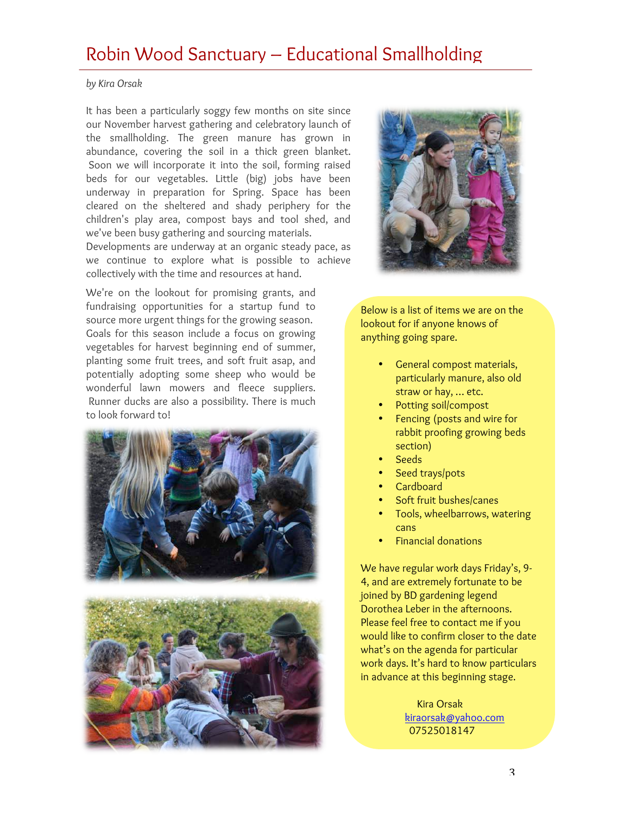# Robin Wood Sanctuary – Educational Smallholding

### *by Kira Orsak*

It has been a particularly soggy few months on site since our November harvest gathering and celebratory launch of the smallholding. The green manure has grown in abundance, covering the soil in a thick green blanket. Soon we will incorporate it into the soil, forming raised beds for our vegetables. Little (big) jobs have been underway in preparation for Spring. Space has been cleared on the sheltered and shady periphery for the children's play area, compost bays and tool shed, and we've been busy gathering and sourcing materials.

Developments are underway at an organic steady pace, as we continue to explore what is possible to achieve collectively with the time and resources at hand.

We're on the lookout for promising grants, and fundraising opportunities for a startup fund to source more urgent things for the growing season. Goals for this season include a focus on growing vegetables for harvest beginning end of summer, planting some fruit trees, and soft fruit asap, and potentially adopting some sheep who would be wonderful lawn mowers and fleece suppliers. Runner ducks are also a possibility. There is much to look forward to!







Below is a list of items we are on the lookout for if anyone knows of anything going spare.

- General compost materials, particularly manure, also old straw or hay, … etc.
- Potting soil/compost
- Fencing (posts and wire for rabbit proofing growing beds section)
- Seeds
- Seed trays/pots
- Cardboard
- Soft fruit bushes/canes
- Tools, wheelbarrows, watering cans
- Financial donations

We have regular work days Friday's, 9- 4, and are extremely fortunate to be joined by BD gardening legend Dorothea Leber in the afternoons. Please feel free to contact me if you would like to confirm closer to the date what's on the agenda for particular work days. It's hard to know particulars in advance at this beginning stage.

> Kira Orsak kiraorsak@yahoo.com 07525018147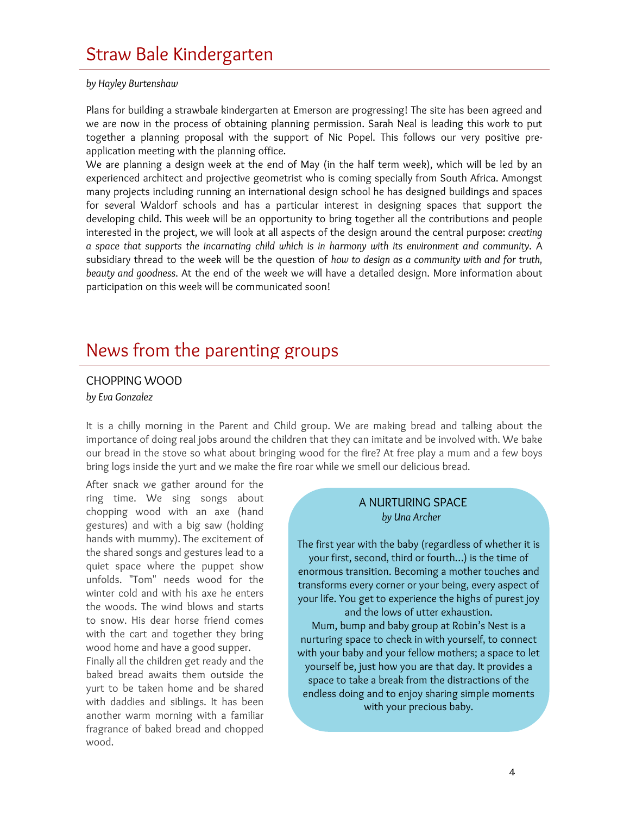### *by Hayley Burtenshaw*

Plans for building a strawbale kindergarten at Emerson are progressing! The site has been agreed and we are now in the process of obtaining planning permission. Sarah Neal is leading this work to put together a planning proposal with the support of Nic Popel. This follows our very positive preapplication meeting with the planning office.

We are planning a design week at the end of May (in the half term week), which will be led by an experienced architect and projective geometrist who is coming specially from South Africa. Amongst many projects including running an international design school he has designed buildings and spaces for several Waldorf schools and has a particular interest in designing spaces that support the developing child. This week will be an opportunity to bring together all the contributions and people interested in the project, we will look at all aspects of the design around the central purpose: *creating a space that supports the incarnating child which is in harmony with its environment and community*. A subsidiary thread to the week will be the question of *how to design as a community with and for truth, beauty and goodness*. At the end of the week we will have a detailed design. More information about participation on this week will be communicated soon!

## News from the parenting groups

## CHOPPING WOOD

*by Eva Gonzalez*

It is a chilly morning in the Parent and Child group. We are making bread and talking about the importance of doing real jobs around the children that they can imitate and be involved with. We bake our bread in the stove so what about bringing wood for the fire? At free play a mum and a few boys bring logs inside the yurt and we make the fire roar while we smell our delicious bread.

After snack we gather around for the ring time. We sing songs about chopping wood with an axe (hand gestures) and with a big saw (holding hands with mummy). The excitement of the shared songs and gestures lead to a quiet space where the puppet show unfolds. "Tom" needs wood for the winter cold and with his axe he enters the woods. The wind blows and starts to snow. His dear horse friend comes with the cart and together they bring wood home and have a good supper.

Finally all the children get ready and the baked bread awaits them outside the yurt to be taken home and be shared with daddies and siblings. It has been another warm morning with a familiar fragrance of baked bread and chopped wood.

### A NURTURING SPACE  *by Una Archer*

The first year with the baby (regardless of whether it is your first, second, third or fourth…) is the time of enormous transition. Becoming a mother touches and transforms every corner or your being, every aspect of your life. You get to experience the highs of purest joy and the lows of utter exhaustion.

Mum, bump and baby group at Robin's Nest is a nurturing space to check in with yourself, to connect with your baby and your fellow mothers; a space to let yourself be, just how you are that day. It provides a space to take a break from the distractions of the endless doing and to enjoy sharing simple moments with your precious baby.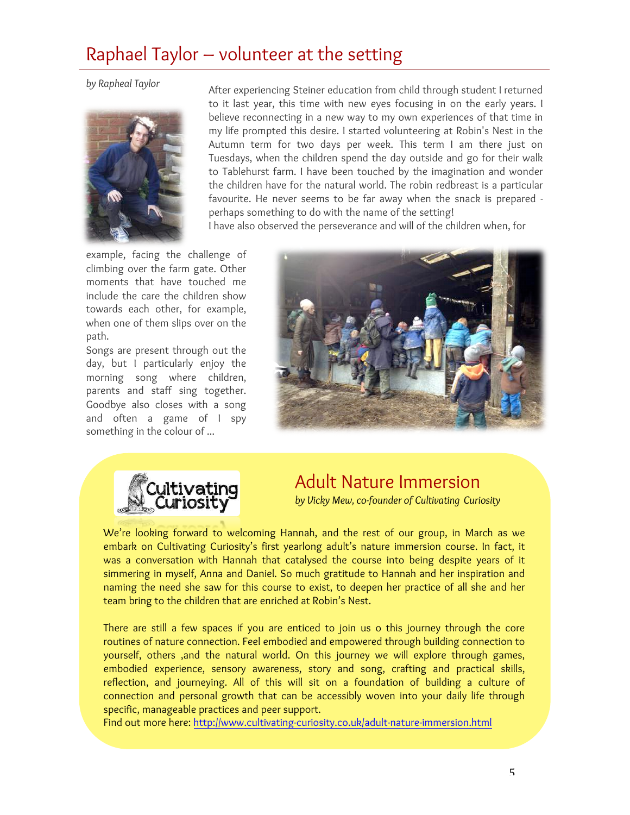# Raphael Taylor – volunteer at the setting

*by Rapheal Taylor*



After experiencing Steiner education from child through student I returned to it last year, this time with new eyes focusing in on the early years. I believe reconnecting in a new way to my own experiences of that time in my life prompted this desire. I started volunteering at Robin's Nest in the Autumn term for two days per week. This term I am there just on Tuesdays, when the children spend the day outside and go for their walk to Tablehurst farm. I have been touched by the imagination and wonder the children have for the natural world. The robin redbreast is a particular favourite. He never seems to be far away when the snack is prepared perhaps something to do with the name of the setting! I have also observed the perseverance and will of the children when, for

example, facing the challenge of climbing over the farm gate. Other moments that have touched me include the care the children show towards each other, for example, when one of them slips over on the path.

Songs are present through out the day, but I particularly enjoy the morning song where children, parents and staff sing together. Goodbye also closes with a song and often a game of I spy something in the colour of ...





# Adult Nature Immersion

*by Vicky Mew, co-founder of Cultivating Curiosity*

We're looking forward to welcoming Hannah, and the rest of our group, in March as we embark on Cultivating Curiosity's first yearlong adult's nature immersion course. In fact, it was a conversation with Hannah that catalysed the course into being despite years of it simmering in myself, Anna and Daniel. So much gratitude to Hannah and her inspiration and naming the need she saw for this course to exist, to deepen her practice of all she and her team bring to the children that are enriched at Robin's Nest.

There are still a few spaces if you are enticed to join us o this journey through the core routines of nature connection. Feel embodied and empowered through building connection to yourself, others ,and the natural world. On this journey we will explore through games, embodied experience, sensory awareness, story and song, crafting and practical skills, reflection, and journeying. All of this will sit on a foundation of building a culture of connection and personal growth that can be accessibly woven into your daily life through specific, manageable practices and peer support.

Find out more here: http://www.cultivating-curiosity.co.uk/adult-nature-immersion.html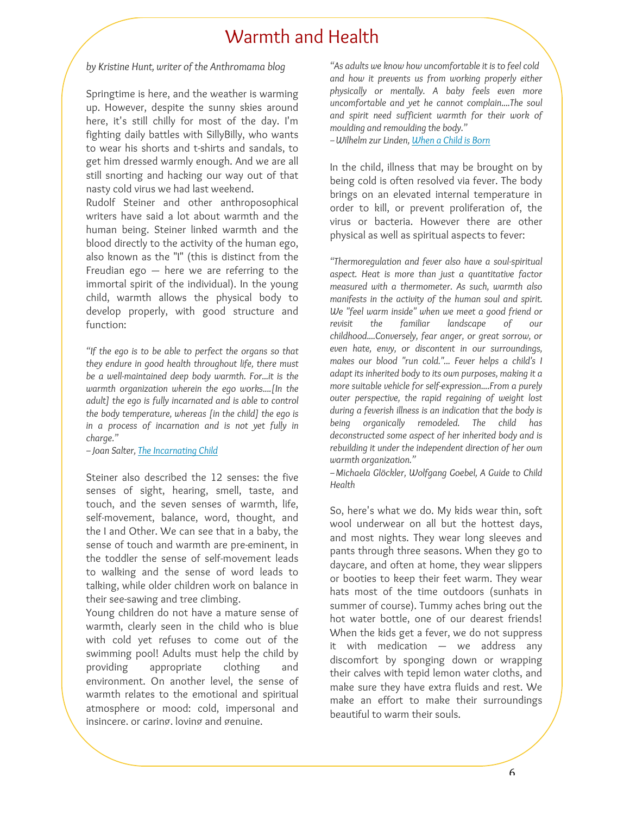## Warmth and Health

### *by Kristine Hunt, writer of the Anthromama blog*

Springtime is here, and the weather is warming up. However, despite the sunny skies around here, it's still chilly for most of the day. I'm fighting daily battles with SillyBilly, who wants to wear his shorts and t-shirts and sandals, to get him dressed warmly enough. And we are all still snorting and hacking our way out of that nasty cold virus we had last weekend.

Rudolf Steiner and other anthroposophical writers have said a lot about warmth and the human being. Steiner linked warmth and the blood directly to the activity of the human ego, also known as the "I" (this is distinct from the Freudian ego  $-$  here we are referring to the immortal spirit of the individual). In the young child, warmth allows the physical body to develop properly, with good structure and function:

*"If the ego is to be able to perfect the organs so that they endure in good health throughout life, there must be a well-maintained deep body warmth. For...it is the warmth organization wherein the ego works....[In the adult] the ego is fully incarnated and is able to control the body temperature, whereas [in the child] the ego is in a process of incarnation and is not yet fully in charge."*

*–Joan Salter, The Incarnating Child*

Steiner also described the 12 senses: the five senses of sight, hearing, smell, taste, and touch, and the seven senses of warmth, life, self-movement, balance, word, thought, and the I and Other. We can see that in a baby, the sense of touch and warmth are pre-eminent, in the toddler the sense of self-movement leads to walking and the sense of word leads to talking, while older children work on balance in their see-sawing and tree climbing.

Young children do not have a mature sense of warmth, clearly seen in the child who is blue with cold yet refuses to come out of the swimming pool! Adults must help the child by providing appropriate clothing and environment. On another level, the sense of warmth relates to the emotional and spiritual atmosphere or mood: cold, impersonal and insincere, or caring, loving and genuine.

*"As adults we know how uncomfortable it is to feel cold and how it prevents us from working properly either physically or mentally. A baby feels even more uncomfortable and yet he cannot complain....The soul and spirit need sufficient warmth for their work of moulding and remoulding the body."*

*–Wilhelm zur Linden, When a Child is Born*

In the child, illness that may be brought on by being cold is often resolved via fever. The body brings on an elevated internal temperature in order to kill, or prevent proliferation of, the virus or bacteria. However there are other physical as well as spiritual aspects to fever:

*"Thermoregulation and fever also have a soul-spiritual aspect. Heat is more than just a quantitative factor measured with a thermometer. As such, warmth also manifests in the activity of the human soul and spirit. We "feel warm inside" when we meet a good friend or revisit the familiar landscape of our childhood....Conversely, fear anger, or great sorrow, or even hate, envy, or discontent in our surroundings, makes our blood "run cold."... Fever helps a child's I adapt its inherited body to its own purposes, making it a more suitable vehicle for self-expression....From a purely outer perspective, the rapid regaining of weight lost during a feverish illness is an indication that the body is being organically remodeled. The child has deconstructed some aspect of her inherited body and is rebuilding it under the independent direction of her own warmth organization."*

*–Michaela Glöckler, Wolfgang Goebel, A Guide to Child Health*

So, here's what we do. My kids wear thin, soft wool underwear on all but the hottest days, and most nights. They wear long sleeves and pants through three seasons. When they go to daycare, and often at home, they wear slippers or booties to keep their feet warm. They wear hats most of the time outdoors (sunhats in summer of course). Tummy aches bring out the hot water bottle, one of our dearest friends! When the kids get a fever, we do not suppress it with medication — we address any discomfort by sponging down or wrapping their calves with tepid lemon water cloths, and make sure they have extra fluids and rest. We make an effort to make their surroundings beautiful to warm their souls.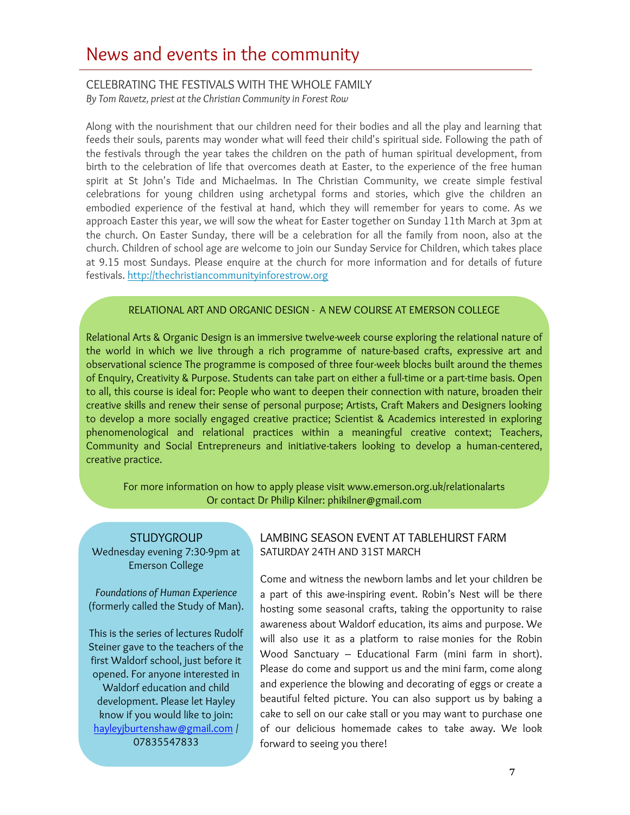## News and events in the community

## CELEBRATING THE FESTIVALS WITH THE WHOLE FAMILY

*By Tom Ravetz, priest at the Christian Community in Forest Row*

Along with the nourishment that our children need for their bodies and all the play and learning that feeds their souls, parents may wonder what will feed their child's spiritual side. Following the path of the festivals through the year takes the children on the path of human spiritual development, from birth to the celebration of life that overcomes death at Easter, to the experience of the free human spirit at St John's Tide and Michaelmas. In The Christian Community, we create simple festival celebrations for young children using archetypal forms and stories, which give the children an embodied experience of the festival at hand, which they will remember for years to come. As we approach Easter this year, we will sow the wheat for Easter together on Sunday 11th March at 3pm at the church. On Easter Sunday, there will be a celebration for all the family from noon, also at the church. Children of school age are welcome to join our Sunday Service for Children, which takes place at 9.15 most Sundays. Please enquire at the church for more information and for details of future festivals. http://thechristiancommunityinforestrow.org

## RELATIONAL ART AND ORGANIC DESIGN - A NEW COURSE AT EMERSON COLLEGE

Relational Arts & Organic Design is an immersive twelve-week course exploring the relational nature of the world in which we live through a rich programme of nature-based crafts, expressive art and observational science The programme is composed of three four-week blocks built around the themes of Enquiry, Creativity & Purpose. Students can take part on either a full-time or a part-time basis. Open to all, this course is ideal for: People who want to deepen their connection with nature, broaden their creative skills and renew their sense of personal purpose; Artists, Craft Makers and Designers looking to develop a more socially engaged creative practice; Scientist & Academics interested in exploring phenomenological and relational practices within a meaningful creative context; Teachers, Community and Social Entrepreneurs and initiative-takers looking to develop a human-centered, creative practice.

For more information on how to apply please visit www.emerson.org.uk/relationalarts Or contact Dr Philip Kilner: phikilner@gmail.com

**STUDYGROUP** Wednesday evening 7:30-9pm at Emerson College

*Foundations of Human Experience*  (formerly called the Study of Man).

This is the series of lectures Rudolf Steiner gave to the teachers of the first Waldorf school, just before it opened. For anyone interested in Waldorf education and child development. Please let Hayley know if you would like to join: hayleyjburtenshaw@gmail.com / 07835547833

## LAMBING SEASON EVENT AT TABLEHURST FARM SATURDAY 24TH AND 31ST MARCH

Come and witness the newborn lambs and let your children be a part of this awe-inspiring event. Robin's Nest will be there hosting some seasonal crafts, taking the opportunity to raise awareness about Waldorf education, its aims and purpose. We will also use it as a platform to raise monies for the Robin Wood Sanctuary – Educational Farm (mini farm in short). Please do come and support us and the mini farm, come along and experience the blowing and decorating of eggs or create a beautiful felted picture. You can also support us by baking a cake to sell on our cake stall or you may want to purchase one of our delicious homemade cakes to take away. We look forward to seeing you there!